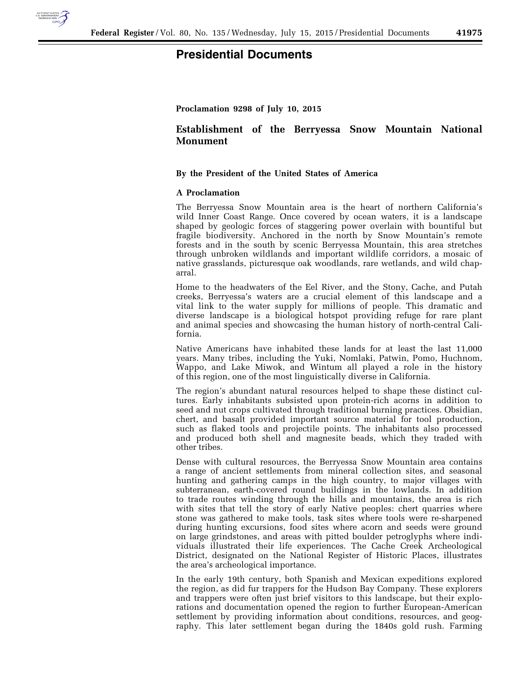

## **Presidential Documents**

**Proclamation 9298 of July 10, 2015** 

## **Establishment of the Berryessa Snow Mountain National Monument**

## **By the President of the United States of America**

## **A Proclamation**

The Berryessa Snow Mountain area is the heart of northern California's wild Inner Coast Range. Once covered by ocean waters, it is a landscape shaped by geologic forces of staggering power overlain with bountiful but fragile biodiversity. Anchored in the north by Snow Mountain's remote forests and in the south by scenic Berryessa Mountain, this area stretches through unbroken wildlands and important wildlife corridors, a mosaic of native grasslands, picturesque oak woodlands, rare wetlands, and wild chaparral.

Home to the headwaters of the Eel River, and the Stony, Cache, and Putah creeks, Berryessa's waters are a crucial element of this landscape and a vital link to the water supply for millions of people. This dramatic and diverse landscape is a biological hotspot providing refuge for rare plant and animal species and showcasing the human history of north-central California.

Native Americans have inhabited these lands for at least the last 11,000 years. Many tribes, including the Yuki, Nomlaki, Patwin, Pomo, Huchnom, Wappo, and Lake Miwok, and Wintum all played a role in the history of this region, one of the most linguistically diverse in California.

The region's abundant natural resources helped to shape these distinct cultures. Early inhabitants subsisted upon protein-rich acorns in addition to seed and nut crops cultivated through traditional burning practices. Obsidian, chert, and basalt provided important source material for tool production, such as flaked tools and projectile points. The inhabitants also processed and produced both shell and magnesite beads, which they traded with other tribes.

Dense with cultural resources, the Berryessa Snow Mountain area contains a range of ancient settlements from mineral collection sites, and seasonal hunting and gathering camps in the high country, to major villages with subterranean, earth-covered round buildings in the lowlands. In addition to trade routes winding through the hills and mountains, the area is rich with sites that tell the story of early Native peoples: chert quarries where stone was gathered to make tools, task sites where tools were re-sharpened during hunting excursions, food sites where acorn and seeds were ground on large grindstones, and areas with pitted boulder petroglyphs where individuals illustrated their life experiences. The Cache Creek Archeological District, designated on the National Register of Historic Places, illustrates the area's archeological importance.

In the early 19th century, both Spanish and Mexican expeditions explored the region, as did fur trappers for the Hudson Bay Company. These explorers and trappers were often just brief visitors to this landscape, but their explorations and documentation opened the region to further European-American settlement by providing information about conditions, resources, and geography. This later settlement began during the 1840s gold rush. Farming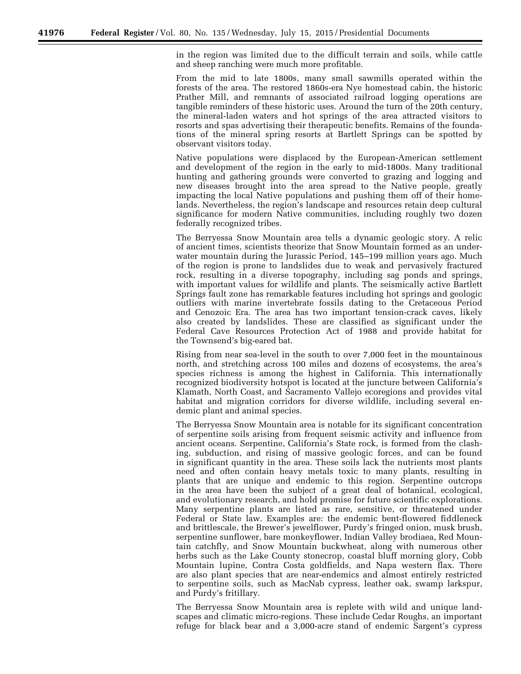in the region was limited due to the difficult terrain and soils, while cattle and sheep ranching were much more profitable.

From the mid to late 1800s, many small sawmills operated within the forests of the area. The restored 1860s-era Nye homestead cabin, the historic Prather Mill, and remnants of associated railroad logging operations are tangible reminders of these historic uses. Around the turn of the 20th century, the mineral-laden waters and hot springs of the area attracted visitors to resorts and spas advertising their therapeutic benefits. Remains of the foundations of the mineral spring resorts at Bartlett Springs can be spotted by observant visitors today.

Native populations were displaced by the European-American settlement and development of the region in the early to mid-1800s. Many traditional hunting and gathering grounds were converted to grazing and logging and new diseases brought into the area spread to the Native people, greatly impacting the local Native populations and pushing them off of their homelands. Nevertheless, the region's landscape and resources retain deep cultural significance for modern Native communities, including roughly two dozen federally recognized tribes.

The Berryessa Snow Mountain area tells a dynamic geologic story. A relic of ancient times, scientists theorize that Snow Mountain formed as an underwater mountain during the Jurassic Period, 145–199 million years ago. Much of the region is prone to landslides due to weak and pervasively fractured rock, resulting in a diverse topography, including sag ponds and springs, with important values for wildlife and plants. The seismically active Bartlett Springs fault zone has remarkable features including hot springs and geologic outliers with marine invertebrate fossils dating to the Cretaceous Period and Cenozoic Era. The area has two important tension-crack caves, likely also created by landslides. These are classified as significant under the Federal Cave Resources Protection Act of 1988 and provide habitat for the Townsend's big-eared bat.

Rising from near sea-level in the south to over 7,000 feet in the mountainous north, and stretching across 100 miles and dozens of ecosystems, the area's species richness is among the highest in California. This internationally recognized biodiversity hotspot is located at the juncture between California's Klamath, North Coast, and Sacramento Vallejo ecoregions and provides vital habitat and migration corridors for diverse wildlife, including several endemic plant and animal species.

The Berryessa Snow Mountain area is notable for its significant concentration of serpentine soils arising from frequent seismic activity and influence from ancient oceans. Serpentine, California's State rock, is formed from the clashing, subduction, and rising of massive geologic forces, and can be found in significant quantity in the area. These soils lack the nutrients most plants need and often contain heavy metals toxic to many plants, resulting in plants that are unique and endemic to this region. Serpentine outcrops in the area have been the subject of a great deal of botanical, ecological, and evolutionary research, and hold promise for future scientific explorations. Many serpentine plants are listed as rare, sensitive, or threatened under Federal or State law. Examples are: the endemic bent-flowered fiddleneck and brittlescale, the Brewer's jewelflower, Purdy's fringed onion, musk brush, serpentine sunflower, bare monkeyflower, Indian Valley brodiaea, Red Mountain catchfly, and Snow Mountain buckwheat, along with numerous other herbs such as the Lake County stonecrop, coastal bluff morning glory, Cobb Mountain lupine, Contra Costa goldfields, and Napa western flax. There are also plant species that are near-endemics and almost entirely restricted to serpentine soils, such as MacNab cypress, leather oak, swamp larkspur, and Purdy's fritillary.

The Berryessa Snow Mountain area is replete with wild and unique landscapes and climatic micro-regions. These include Cedar Roughs, an important refuge for black bear and a 3,000-acre stand of endemic Sargent's cypress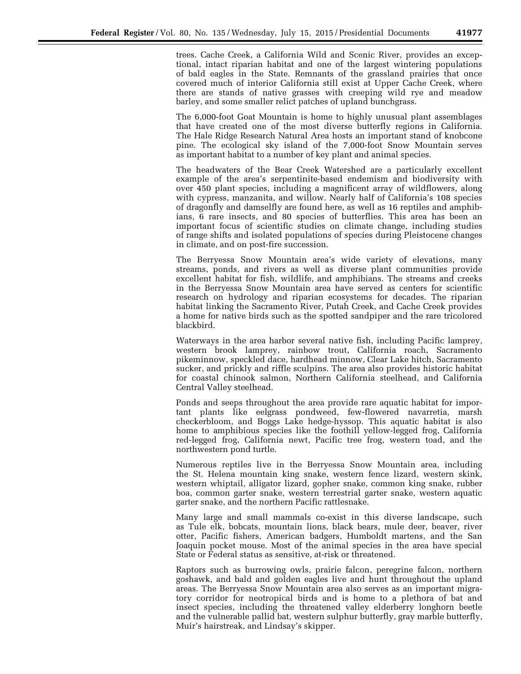trees. Cache Creek, a California Wild and Scenic River, provides an exceptional, intact riparian habitat and one of the largest wintering populations of bald eagles in the State. Remnants of the grassland prairies that once covered much of interior California still exist at Upper Cache Creek, where there are stands of native grasses with creeping wild rye and meadow barley, and some smaller relict patches of upland bunchgrass.

The 6,000-foot Goat Mountain is home to highly unusual plant assemblages that have created one of the most diverse butterfly regions in California. The Hale Ridge Research Natural Area hosts an important stand of knobcone pine. The ecological sky island of the 7,000-foot Snow Mountain serves as important habitat to a number of key plant and animal species.

The headwaters of the Bear Creek Watershed are a particularly excellent example of the area's serpentinite-based endemism and biodiversity with over 450 plant species, including a magnificent array of wildflowers, along with cypress, manzanita, and willow. Nearly half of California's 108 species of dragonfly and damselfly are found here, as well as 16 reptiles and amphibians, 6 rare insects, and 80 species of butterflies. This area has been an important focus of scientific studies on climate change, including studies of range shifts and isolated populations of species during Pleistocene changes in climate, and on post-fire succession.

The Berryessa Snow Mountain area's wide variety of elevations, many streams, ponds, and rivers as well as diverse plant communities provide excellent habitat for fish, wildlife, and amphibians. The streams and creeks in the Berryessa Snow Mountain area have served as centers for scientific research on hydrology and riparian ecosystems for decades. The riparian habitat linking the Sacramento River, Putah Creek, and Cache Creek provides a home for native birds such as the spotted sandpiper and the rare tricolored blackbird.

Waterways in the area harbor several native fish, including Pacific lamprey, western brook lamprey, rainbow trout, California roach, Sacramento pikeminnow, speckled dace, hardhead minnow, Clear Lake hitch, Sacramento sucker, and prickly and riffle sculpins. The area also provides historic habitat for coastal chinook salmon, Northern California steelhead, and California Central Valley steelhead.

Ponds and seeps throughout the area provide rare aquatic habitat for important plants like eelgrass pondweed, few-flowered navarretia, marsh checkerbloom, and Boggs Lake hedge-hyssop. This aquatic habitat is also home to amphibious species like the foothill yellow-legged frog, California red-legged frog, California newt, Pacific tree frog, western toad, and the northwestern pond turtle.

Numerous reptiles live in the Berryessa Snow Mountain area, including the St. Helena mountain king snake, western fence lizard, western skink, western whiptail, alligator lizard, gopher snake, common king snake, rubber boa, common garter snake, western terrestrial garter snake, western aquatic garter snake, and the northern Pacific rattlesnake.

Many large and small mammals co-exist in this diverse landscape, such as Tule elk, bobcats, mountain lions, black bears, mule deer, beaver, river otter, Pacific fishers, American badgers, Humboldt martens, and the San Joaquin pocket mouse. Most of the animal species in the area have special State or Federal status as sensitive, at-risk or threatened.

Raptors such as burrowing owls, prairie falcon, peregrine falcon, northern goshawk, and bald and golden eagles live and hunt throughout the upland areas. The Berryessa Snow Mountain area also serves as an important migratory corridor for neotropical birds and is home to a plethora of bat and insect species, including the threatened valley elderberry longhorn beetle and the vulnerable pallid bat, western sulphur butterfly, gray marble butterfly, Muir's hairstreak, and Lindsay's skipper.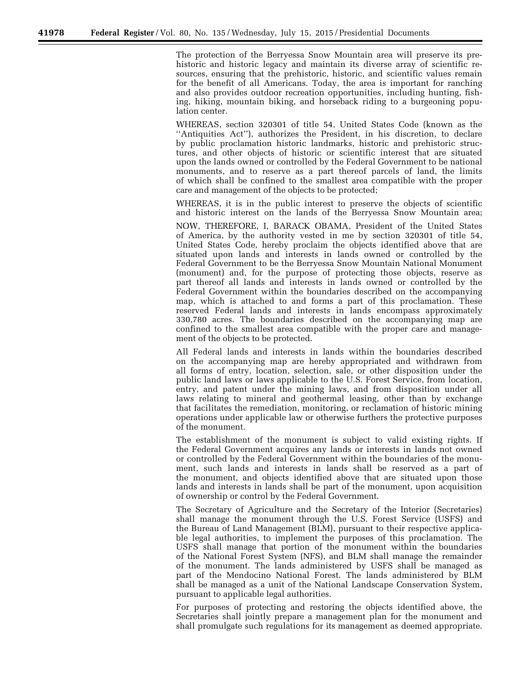The protection of the Berryessa Snow Mountain area will preserve its prehistoric and historic legacy and maintain its diverse array of scientific resources, ensuring that the prehistoric, historic, and scientific values remain for the benefit of all Americans. Today, the area is important for ranching and also provides outdoor recreation opportunities, including hunting, fishing, hiking, mountain biking, and horseback riding to a burgeoning population center.

WHEREAS, section 320301 of title 54, United States Code (known as the ''Antiquities Act''), authorizes the President, in his discretion, to declare by public proclamation historic landmarks, historic and prehistoric structures, and other objects of historic or scientific interest that are situated upon the lands owned or controlled by the Federal Government to be national monuments, and to reserve as a part thereof parcels of land, the limits of which shall be confined to the smallest area compatible with the proper care and management of the objects to be protected;

WHEREAS, it is in the public interest to preserve the objects of scientific and historic interest on the lands of the Berryessa Snow Mountain area;

NOW, THEREFORE, I, BARACK OBAMA, President of the United States of America, by the authority vested in me by section 320301 of title 54, United States Code, hereby proclaim the objects identified above that are situated upon lands and interests in lands owned or controlled by the Federal Government to be the Berryessa Snow Mountain National Monument (monument) and, for the purpose of protecting those objects, reserve as part thereof all lands and interests in lands owned or controlled by the Federal Government within the boundaries described on the accompanying map, which is attached to and forms a part of this proclamation. These reserved Federal lands and interests in lands encompass approximately 330,780 acres. The boundaries described on the accompanying map are confined to the smallest area compatible with the proper care and management of the objects to be protected.

All Federal lands and interests in lands within the boundaries described on the accompanying map are hereby appropriated and withdrawn from all forms of entry, location, selection, sale, or other disposition under the public land laws or laws applicable to the U.S. Forest Service, from location, entry, and patent under the mining laws, and from disposition under all laws relating to mineral and geothermal leasing, other than by exchange that facilitates the remediation, monitoring, or reclamation of historic mining operations under applicable law or otherwise furthers the protective purposes of the monument.

The establishment of the monument is subject to valid existing rights. If the Federal Government acquires any lands or interests in lands not owned or controlled by the Federal Government within the boundaries of the monument, such lands and interests in lands shall be reserved as a part of the monument, and objects identified above that are situated upon those lands and interests in lands shall be part of the monument, upon acquisition of ownership or control by the Federal Government.

The Secretary of Agriculture and the Secretary of the Interior (Secretaries) shall manage the monument through the U.S. Forest Service (USFS) and the Bureau of Land Management (BLM), pursuant to their respective applicable legal authorities, to implement the purposes of this proclamation. The USFS shall manage that portion of the monument within the boundaries of the National Forest System (NFS), and BLM shall manage the remainder of the monument. The lands administered by USFS shall be managed as part of the Mendocino National Forest. The lands administered by BLM shall be managed as a unit of the National Landscape Conservation System, pursuant to applicable legal authorities.

For purposes of protecting and restoring the objects identified above, the Secretaries shall jointly prepare a management plan for the monument and shall promulgate such regulations for its management as deemed appropriate.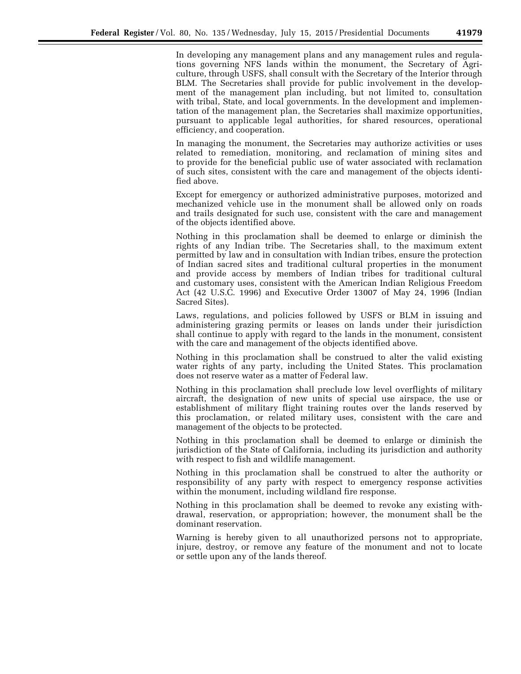In developing any management plans and any management rules and regulations governing NFS lands within the monument, the Secretary of Agriculture, through USFS, shall consult with the Secretary of the Interior through BLM. The Secretaries shall provide for public involvement in the development of the management plan including, but not limited to, consultation with tribal, State, and local governments. In the development and implementation of the management plan, the Secretaries shall maximize opportunities, pursuant to applicable legal authorities, for shared resources, operational efficiency, and cooperation.

In managing the monument, the Secretaries may authorize activities or uses related to remediation, monitoring, and reclamation of mining sites and to provide for the beneficial public use of water associated with reclamation of such sites, consistent with the care and management of the objects identified above.

Except for emergency or authorized administrative purposes, motorized and mechanized vehicle use in the monument shall be allowed only on roads and trails designated for such use, consistent with the care and management of the objects identified above.

Nothing in this proclamation shall be deemed to enlarge or diminish the rights of any Indian tribe. The Secretaries shall, to the maximum extent permitted by law and in consultation with Indian tribes, ensure the protection of Indian sacred sites and traditional cultural properties in the monument and provide access by members of Indian tribes for traditional cultural and customary uses, consistent with the American Indian Religious Freedom Act (42 U.S.C. 1996) and Executive Order 13007 of May 24, 1996 (Indian Sacred Sites).

Laws, regulations, and policies followed by USFS or BLM in issuing and administering grazing permits or leases on lands under their jurisdiction shall continue to apply with regard to the lands in the monument, consistent with the care and management of the objects identified above.

Nothing in this proclamation shall be construed to alter the valid existing water rights of any party, including the United States. This proclamation does not reserve water as a matter of Federal law.

Nothing in this proclamation shall preclude low level overflights of military aircraft, the designation of new units of special use airspace, the use or establishment of military flight training routes over the lands reserved by this proclamation, or related military uses, consistent with the care and management of the objects to be protected.

Nothing in this proclamation shall be deemed to enlarge or diminish the jurisdiction of the State of California, including its jurisdiction and authority with respect to fish and wildlife management.

Nothing in this proclamation shall be construed to alter the authority or responsibility of any party with respect to emergency response activities within the monument, including wildland fire response.

Nothing in this proclamation shall be deemed to revoke any existing withdrawal, reservation, or appropriation; however, the monument shall be the dominant reservation.

Warning is hereby given to all unauthorized persons not to appropriate, injure, destroy, or remove any feature of the monument and not to locate or settle upon any of the lands thereof.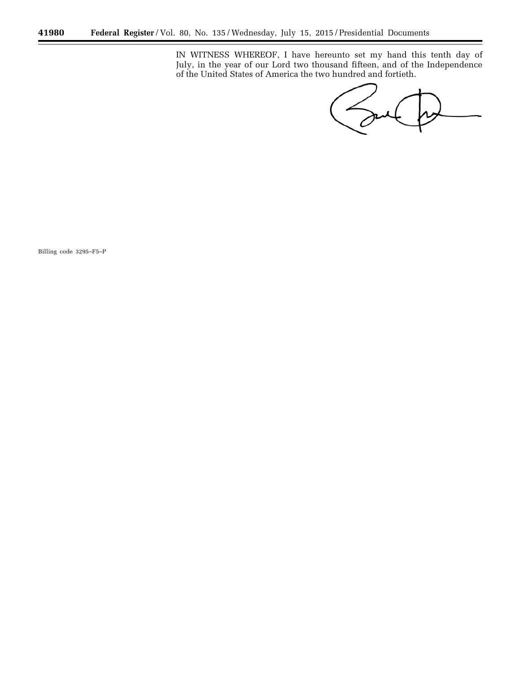IN WITNESS WHEREOF, I have hereunto set my hand this tenth day of July, in the year of our Lord two thousand fifteen, and of the Independence of the United States of America the two hundred and fortieth.

Sent

÷

Billing code 3295–F5–P

۳